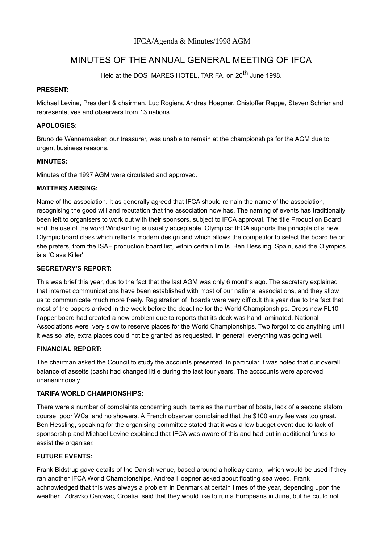# MINUTES OF THE ANNUAL GENERAL MEETING OF IFCA

Held at the DOS MARES HOTEL, TARIFA, on 26<sup>th</sup> June 1998.

#### **PRESENT:**

Michael Levine, President & chairman, Luc Rogiers, Andrea Hoepner, Chistoffer Rappe, Steven Schrier and representatives and observers from 13 nations.

#### **APOLOGIES:**

Bruno de Wannemaeker, our treasurer, was unable to remain at the championships for the AGM due to urgent business reasons.

#### **MINUTES:**

Minutes of the 1997 AGM were circulated and approved.

#### **MATTERS ARISING:**

Name of the association. It as generally agreed that IFCA should remain the name of the association, recognising the good will and reputation that the association now has. The naming of events has traditionally been left to organisers to work out with their sponsors, subject to IFCA approval. The title Production Board and the use of the word Windsurfing is usually acceptable. Olympics: IFCA supports the principle of a new Olympic board class which reflects modern design and which allows the competitor to select the board he or she prefers, from the ISAF production board list, within certain limits. Ben Hessling, Spain, said the Olympics is a 'Class Killer'.

## **SECRETARY'S REPORT:**

This was brief this year, due to the fact that the last AGM was only 6 months ago. The secretary explained that internet communications have been established with most of our national associations, and they allow us to communicate much more freely. Registration of boards were very difficult this year due to the fact that most of the papers arrived in the week before the deadline for the World Championships. Drops new FL10 flapper board had created a new problem due to reports that its deck was hand laminated. National Associations were very slow to reserve places for the World Championships. Two forgot to do anything until it was so late, extra places could not be granted as requested. In general, everything was going well.

#### **FINANCIAL REPORT:**

The chairman asked the Council to study the accounts presented. In particular it was noted that our overall balance of assetts (cash) had changed little during the last four years. The acccounts were approved unananimously.

## **TARIFA WORLD CHAMPIONSHIPS:**

There were a number of complaints concerning such items as the number of boats, lack of a second slalom course, poor WCs, and no showers. A French observer complained that the \$100 entry fee was too great. Ben Hessling, speaking for the organising committee stated that it was a low budget event due to lack of sponsorship and Michael Levine explained that IFCA was aware of this and had put in additional funds to assist the organiser.

# **FUTURE EVENTS:**

Frank Bidstrup gave details of the Danish venue, based around a holiday camp, which would be used if they ran another IFCA World Championships. Andrea Hoepner asked about floating sea weed. Frank achnowledged that this was always a problem in Denmark at certain times of the year, depending upon the weather. Zdravko Cerovac, Croatia, said that they would like to run a Europeans in June, but he could not